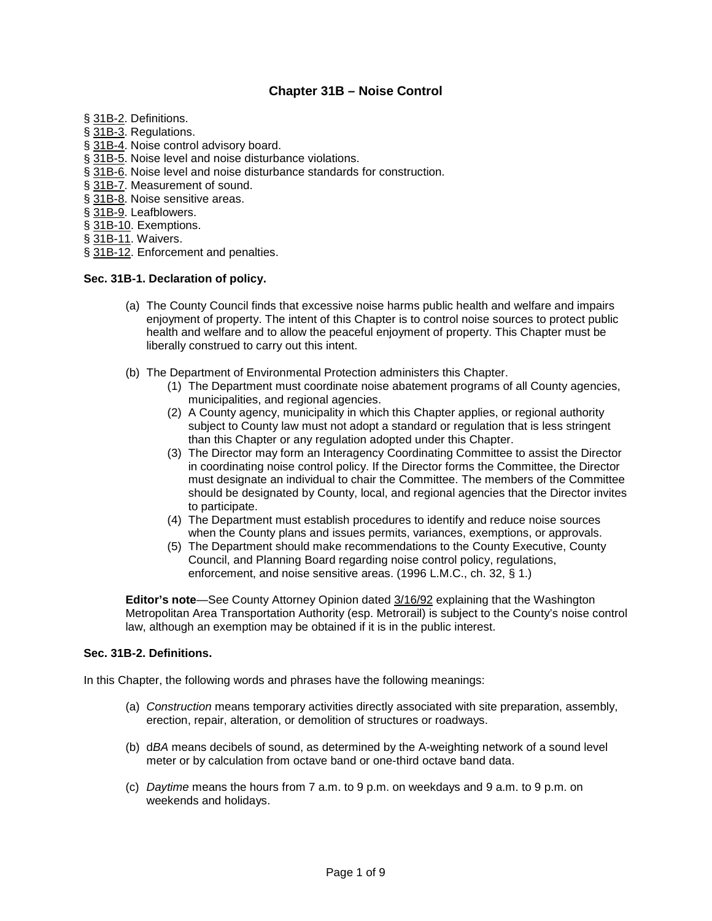# **Chapter 31B – Noise Control**

- § [31B-2.](http://www.amlegal.com/nxt/gateway.dll?f=id$id=Montgomery%20County%20Code%3Ar%3A3edd$cid=maryland$t=altmain-nf.htm$an=JD_31B-2$3.0#JD_31B-2) Definitions.
- § [31B-3.](http://www.amlegal.com/nxt/gateway.dll?f=id$id=Montgomery%20County%20Code%3Ar%3A3edd$cid=maryland$t=altmain-nf.htm$an=JD_31B-3$3.0#JD_31B-3) Regulations.
- § [31B-4.](http://www.amlegal.com/nxt/gateway.dll?f=id$id=Montgomery%20County%20Code%3Ar%3A3edd$cid=maryland$t=altmain-nf.htm$an=JD_31B-4$3.0#JD_31B-4) Noise control advisory board.
- § [31B-5.](http://www.amlegal.com/nxt/gateway.dll?f=id$id=Montgomery%20County%20Code%3Ar%3A3edd$cid=maryland$t=altmain-nf.htm$an=JD_31B-5$3.0#JD_31B-5) Noise level and noise disturbance violations.
- § [31B-6.](http://www.amlegal.com/nxt/gateway.dll?f=id$id=Montgomery%20County%20Code%3Ar%3A3edd$cid=maryland$t=altmain-nf.htm$an=JD_31B-6$3.0#JD_31B-6) Noise level and noise disturbance standards for construction.
- § [31B-7.](http://www.amlegal.com/nxt/gateway.dll?f=id$id=Montgomery%20County%20Code%3Ar%3A3edd$cid=maryland$t=altmain-nf.htm$an=JD_31B-7$3.0#JD_31B-7) Measurement of sound.
- § [31B-8.](http://www.amlegal.com/nxt/gateway.dll?f=id$id=Montgomery%20County%20Code%3Ar%3A3edd$cid=maryland$t=altmain-nf.htm$an=JD_31B-8$3.0#JD_31B-8) Noise sensitive areas.
- § [31B-9.](http://www.amlegal.com/nxt/gateway.dll?f=id$id=Montgomery%20County%20Code%3Ar%3A3edd$cid=maryland$t=altmain-nf.htm$an=JD_31B-9$3.0#JD_31B-9) Leafblowers.
- § [31B-10.](http://www.amlegal.com/nxt/gateway.dll?f=id$id=Montgomery%20County%20Code%3Ar%3A3edd$cid=maryland$t=altmain-nf.htm$an=JD_31B-10$3.0#JD_31B-10) Exemptions.
- § [31B-11.](http://www.amlegal.com/nxt/gateway.dll?f=id$id=Montgomery%20County%20Code%3Ar%3A3edd$cid=maryland$t=altmain-nf.htm$an=JD_31B-11$3.0#JD_31B-11) Waivers.
- § [31B-12.](http://www.amlegal.com/nxt/gateway.dll?f=id$id=Montgomery%20County%20Code%3Ar%3A3edd$cid=maryland$t=altmain-nf.htm$an=JD_31B-12$3.0#JD_31B-12) Enforcement and penalties.

### **Sec. 31B-1. Declaration of policy.**

- (a) The County Council finds that excessive noise harms public health and welfare and impairs enjoyment of property. The intent of this Chapter is to control noise sources to protect public health and welfare and to allow the peaceful enjoyment of property. This Chapter must be liberally construed to carry out this intent.
- (b) The Department of Environmental Protection administers this Chapter.
	- (1) The Department must coordinate noise abatement programs of all County agencies, municipalities, and regional agencies.
	- (2) A County agency, municipality in which this Chapter applies, or regional authority subject to County law must not adopt a standard or regulation that is less stringent than this Chapter or any regulation adopted under this Chapter.
	- (3) The Director may form an Interagency Coordinating Committee to assist the Director in coordinating noise control policy. If the Director forms the Committee, the Director must designate an individual to chair the Committee. The members of the Committee should be designated by County, local, and regional agencies that the Director invites to participate.
	- (4) The Department must establish procedures to identify and reduce noise sources when the County plans and issues permits, variances, exemptions, or approvals.
	- (5) The Department should make recommendations to the County Executive, County Council, and Planning Board regarding noise control policy, regulations, enforcement, and noise sensitive areas. (1996 L.M.C., ch. 32, § 1.)

**Editor's note**—See County Attorney Opinion dated [3/16/92](http://www.amlegal.com/pdffiles/MCMD/03-16-1992.pdf) explaining that the Washington Metropolitan Area Transportation Authority (esp. Metrorail) is subject to the County's noise control law, although an exemption may be obtained if it is in the public interest.

### **Sec. 31B-2. Definitions.**

In this Chapter, the following words and phrases have the following meanings:

- (a) *Construction* means temporary activities directly associated with site preparation, assembly, erection, repair, alteration, or demolition of structures or roadways.
- (b) d*BA* means decibels of sound, as determined by the A-weighting network of a sound level meter or by calculation from octave band or one-third octave band data.
- (c) *Daytime* means the hours from 7 a.m. to 9 p.m. on weekdays and 9 a.m. to 9 p.m. on weekends and holidays.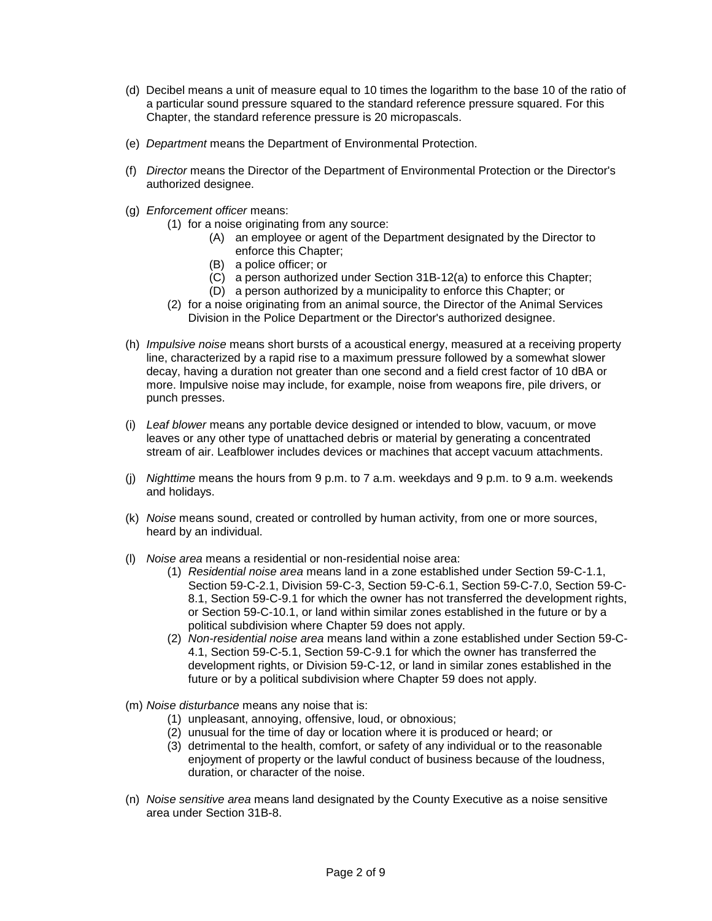- (d) Decibel means a unit of measure equal to 10 times the logarithm to the base 10 of the ratio of a particular sound pressure squared to the standard reference pressure squared. For this Chapter, the standard reference pressure is 20 micropascals.
- (e) *Department* means the Department of Environmental Protection.
- (f) *Director* means the Director of the Department of Environmental Protection or the Director's authorized designee.
- (g) *Enforcement officer* means:
	- (1) for a noise originating from any source:
		- (A) an employee or agent of the Department designated by the Director to enforce this Chapter;
		- (B) a police officer; or
		- (C) a person authorized under Section 31B-12(a) to enforce this Chapter;
		- (D) a person authorized by a municipality to enforce this Chapter; or
	- (2) for a noise originating from an animal source, the Director of the Animal Services Division in the Police Department or the Director's authorized designee.
- (h) *Impulsive noise* means short bursts of a acoustical energy, measured at a receiving property line, characterized by a rapid rise to a maximum pressure followed by a somewhat slower decay, having a duration not greater than one second and a field crest factor of 10 dBA or more. Impulsive noise may include, for example, noise from weapons fire, pile drivers, or punch presses.
- (i) *Leaf blower* means any portable device designed or intended to blow, vacuum, or move leaves or any other type of unattached debris or material by generating a concentrated stream of air. Leafblower includes devices or machines that accept vacuum attachments.
- (j) *Nighttime* means the hours from 9 p.m. to 7 a.m. weekdays and 9 p.m. to 9 a.m. weekends and holidays.
- (k) *Noise* means sound, created or controlled by human activity, from one or more sources, heard by an individual.
- (l) *Noise area* means a residential or non-residential noise area:
	- (1) *Residential noise area* means land in a zone established under Section 59-C-1.1, Section 59-C-2.1, Division 59-C-3, Section 59-C-6.1, Section 59-C-7.0, Section 59-C-8.1, Section 59-C-9.1 for which the owner has not transferred the development rights, or Section 59-C-10.1, or land within similar zones established in the future or by a political subdivision where Chapter 59 does not apply.
	- (2) *Non-residential noise area* means land within a zone established under Section 59-C-4.1, Section 59-C-5.1, Section 59-C-9.1 for which the owner has transferred the development rights, or Division 59-C-12, or land in similar zones established in the future or by a political subdivision where Chapter 59 does not apply.
- (m) *Noise disturbance* means any noise that is:
	- (1) unpleasant, annoying, offensive, loud, or obnoxious;
	- (2) unusual for the time of day or location where it is produced or heard; or
	- (3) detrimental to the health, comfort, or safety of any individual or to the reasonable enjoyment of property or the lawful conduct of business because of the loudness, duration, or character of the noise.
- (n) *Noise sensitive area* means land designated by the County Executive as a noise sensitive area under Section 31B-8.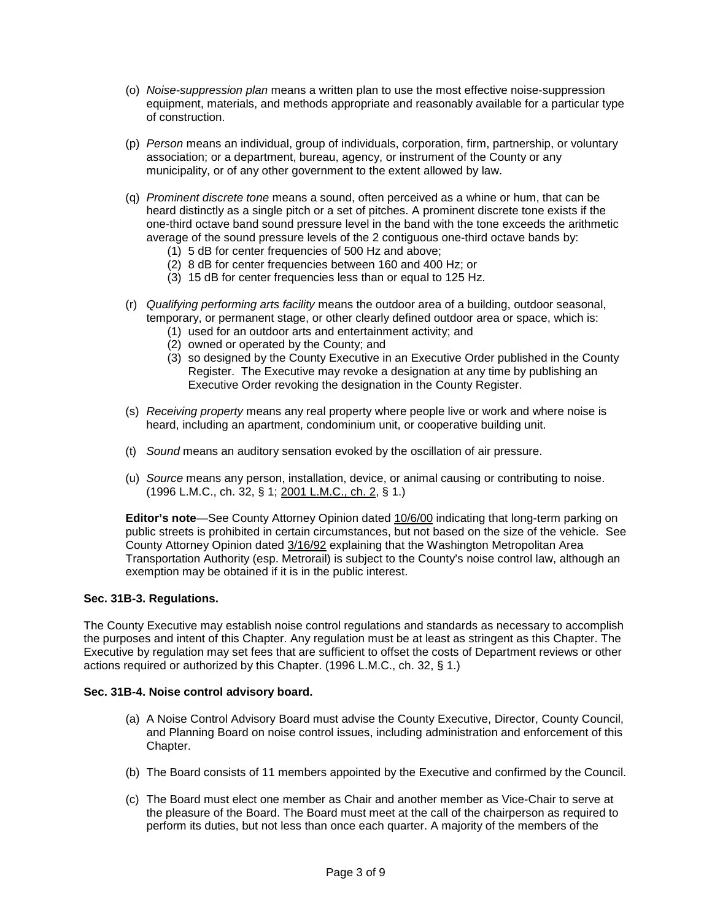- (o) *Noise-suppression plan* means a written plan to use the most effective noise-suppression equipment, materials, and methods appropriate and reasonably available for a particular type of construction.
- (p) *Person* means an individual, group of individuals, corporation, firm, partnership, or voluntary association; or a department, bureau, agency, or instrument of the County or any municipality, or of any other government to the extent allowed by law.
- (q) *Prominent discrete tone* means a sound, often perceived as a whine or hum, that can be heard distinctly as a single pitch or a set of pitches. A prominent discrete tone exists if the one-third octave band sound pressure level in the band with the tone exceeds the arithmetic average of the sound pressure levels of the 2 contiguous one-third octave bands by:
	- (1) 5 dB for center frequencies of 500 Hz and above;
	- (2) 8 dB for center frequencies between 160 and 400 Hz; or
	- (3) 15 dB for center frequencies less than or equal to 125 Hz.
- (r) *Qualifying performing arts facility* means the outdoor area of a building, outdoor seasonal, temporary, or permanent stage, or other clearly defined outdoor area or space, which is:
	- (1) used for an outdoor arts and entertainment activity; and
	- (2) owned or operated by the County; and
	- (3) so designed by the County Executive in an Executive Order published in the County Register. The Executive may revoke a designation at any time by publishing an Executive Order revoking the designation in the County Register.
- (s) *Receiving property* means any real property where people live or work and where noise is heard, including an apartment, condominium unit, or cooperative building unit.
- (t) *Sound* means an auditory sensation evoked by the oscillation of air pressure.
- (u) *Source* means any person, installation, device, or animal causing or contributing to noise. (1996 L.M.C., ch. 32, § 1; [2001 L.M.C., ch. 2,](http://www.montgomerycountymd.gov/mc/council/bills2001/05-01e.pdf) § 1.)

**Editor's note**—See County Attorney Opinion dated [10/6/00](http://www.amlegal.com/pdffiles/MCMD/10-06-2000.pdf) indicating that long-term parking on public streets is prohibited in certain circumstances, but not based on the size of the vehicle. See County Attorney Opinion dated [3/16/92](http://www.amlegal.com/pdffiles/MCMD/03-16-1992.pdf) explaining that the Washington Metropolitan Area Transportation Authority (esp. Metrorail) is subject to the County's noise control law, although an exemption may be obtained if it is in the public interest.

### **Sec. 31B-3. Regulations.**

The County Executive may establish noise control regulations and standards as necessary to accomplish the purposes and intent of this Chapter. Any regulation must be at least as stringent as this Chapter. The Executive by regulation may set fees that are sufficient to offset the costs of Department reviews or other actions required or authorized by this Chapter. (1996 L.M.C., ch. 32, § 1.)

### **Sec. 31B-4. Noise control advisory board.**

- (a) A Noise Control Advisory Board must advise the County Executive, Director, County Council, and Planning Board on noise control issues, including administration and enforcement of this Chapter.
- (b) The Board consists of 11 members appointed by the Executive and confirmed by the Council.
- (c) The Board must elect one member as Chair and another member as Vice-Chair to serve at the pleasure of the Board. The Board must meet at the call of the chairperson as required to perform its duties, but not less than once each quarter. A majority of the members of the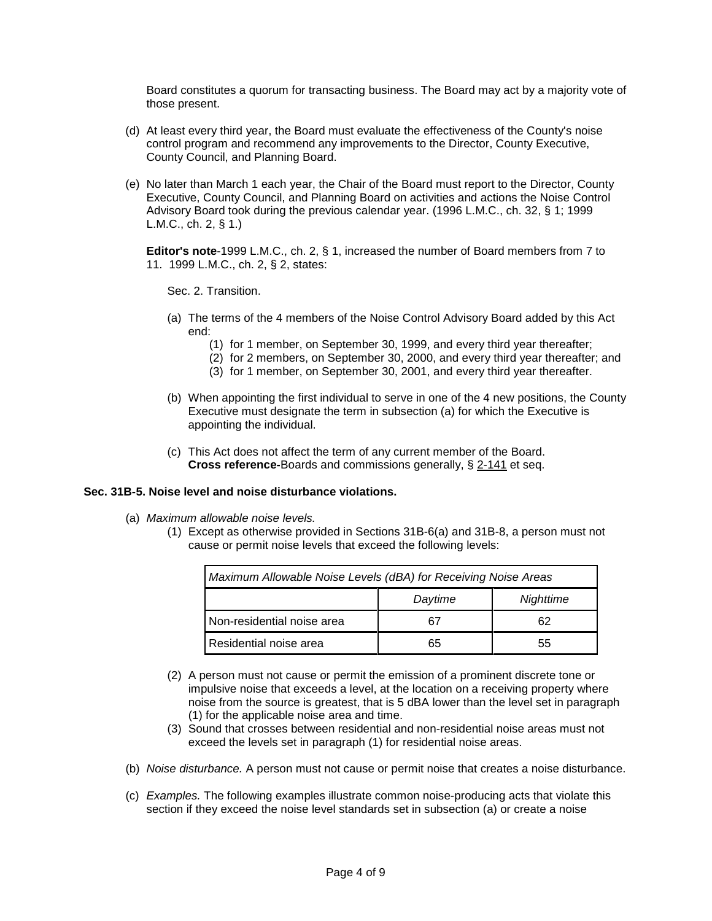Board constitutes a quorum for transacting business. The Board may act by a majority vote of those present.

- (d) At least every third year, the Board must evaluate the effectiveness of the County's noise control program and recommend any improvements to the Director, County Executive, County Council, and Planning Board.
- (e) No later than March 1 each year, the Chair of the Board must report to the Director, County Executive, County Council, and Planning Board on activities and actions the Noise Control Advisory Board took during the previous calendar year. (1996 L.M.C., ch. 32, § 1; 1999 L.M.C., ch. 2, § 1.)

**Editor's note**-1999 L.M.C., ch. 2, § 1, increased the number of Board members from 7 to 11. 1999 L.M.C., ch. 2, § 2, states:

Sec. 2. Transition.

- (a) The terms of the 4 members of the Noise Control Advisory Board added by this Act end:
	- (1) for 1 member, on September 30, 1999, and every third year thereafter;
	- (2) for 2 members, on September 30, 2000, and every third year thereafter; and
	- (3) for 1 member, on September 30, 2001, and every third year thereafter.
- (b) When appointing the first individual to serve in one of the 4 new positions, the County Executive must designate the term in subsection (a) for which the Executive is appointing the individual.
- (c) This Act does not affect the term of any current member of the Board. **Cross reference-**Boards and commissions generally, § [2-141](http://www.amlegal.com/nxt/gateway.dll?f=id$id=Montgomery%20County%20Code%3Ar%3A337$cid=maryland$t=altmain-nf.htm$an=JD_2-141$3.0#JD_2-141) et seq.

### **Sec. 31B-5. Noise level and noise disturbance violations.**

- (a) *Maximum allowable noise levels.*
	- (1) Except as otherwise provided in Sections 31B-6(a) and 31B-8, a person must not cause or permit noise levels that exceed the following levels:

| Maximum Allowable Noise Levels (dBA) for Receiving Noise Areas |         |           |
|----------------------------------------------------------------|---------|-----------|
|                                                                | Daytime | Nighttime |
| Non-residential noise area                                     |         | 62        |
| Residential noise area                                         | 65      | 55        |

- (2) A person must not cause or permit the emission of a prominent discrete tone or impulsive noise that exceeds a level, at the location on a receiving property where noise from the source is greatest, that is 5 dBA lower than the level set in paragraph (1) for the applicable noise area and time.
- (3) Sound that crosses between residential and non-residential noise areas must not exceed the levels set in paragraph (1) for residential noise areas.
- (b) *Noise disturbance.* A person must not cause or permit noise that creates a noise disturbance.
- (c) *Examples.* The following examples illustrate common noise-producing acts that violate this section if they exceed the noise level standards set in subsection (a) or create a noise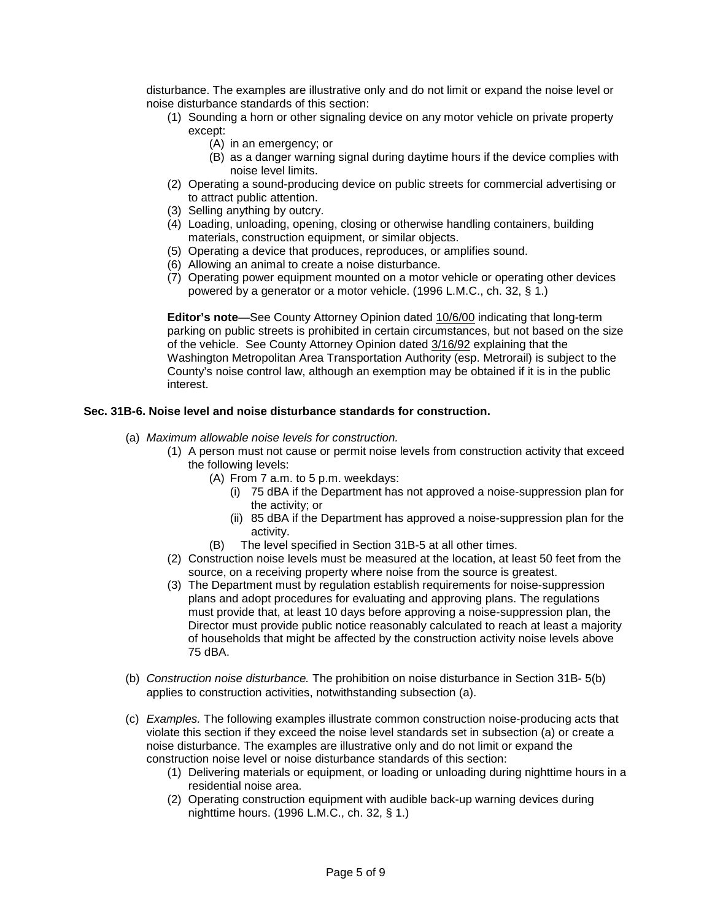disturbance. The examples are illustrative only and do not limit or expand the noise level or noise disturbance standards of this section:

- (1) Sounding a horn or other signaling device on any motor vehicle on private property except:
	- (A) in an emergency; or
	- (B) as a danger warning signal during daytime hours if the device complies with noise level limits.
- (2) Operating a sound-producing device on public streets for commercial advertising or to attract public attention.
- (3) Selling anything by outcry.
- (4) Loading, unloading, opening, closing or otherwise handling containers, building materials, construction equipment, or similar objects.
- (5) Operating a device that produces, reproduces, or amplifies sound.
- (6) Allowing an animal to create a noise disturbance.
- (7) Operating power equipment mounted on a motor vehicle or operating other devices powered by a generator or a motor vehicle. (1996 L.M.C., ch. 32, § 1.)

**Editor's note**—See County Attorney Opinion dated [10/6/00](http://www.amlegal.com/pdffiles/MCMD/10-06-2000.pdf) indicating that long-term parking on public streets is prohibited in certain circumstances, but not based on the size of the vehicle. See County Attorney Opinion dated [3/16/92](http://www.amlegal.com/pdffiles/MCMD/03-16-1992.pdf) explaining that the Washington Metropolitan Area Transportation Authority (esp. Metrorail) is subject to the County's noise control law, although an exemption may be obtained if it is in the public interest.

### **Sec. 31B-6. Noise level and noise disturbance standards for construction.**

- (a) *Maximum allowable noise levels for construction.*
	- (1) A person must not cause or permit noise levels from construction activity that exceed the following levels:
		- (A) From 7 a.m. to 5 p.m. weekdays:
			- (i) 75 dBA if the Department has not approved a noise-suppression plan for the activity; or
			- (ii) 85 dBA if the Department has approved a noise-suppression plan for the activity.
		- (B) The level specified in Section 31B-5 at all other times.
	- (2) Construction noise levels must be measured at the location, at least 50 feet from the source, on a receiving property where noise from the source is greatest.
	- (3) The Department must by regulation establish requirements for noise-suppression plans and adopt procedures for evaluating and approving plans. The regulations must provide that, at least 10 days before approving a noise-suppression plan, the Director must provide public notice reasonably calculated to reach at least a majority of households that might be affected by the construction activity noise levels above 75 dBA.
- (b) *Construction noise disturbance.* The prohibition on noise disturbance in Section 31B- 5(b) applies to construction activities, notwithstanding subsection (a).
- (c) *Examples.* The following examples illustrate common construction noise-producing acts that violate this section if they exceed the noise level standards set in subsection (a) or create a noise disturbance. The examples are illustrative only and do not limit or expand the construction noise level or noise disturbance standards of this section:
	- (1) Delivering materials or equipment, or loading or unloading during nighttime hours in a residential noise area.
	- (2) Operating construction equipment with audible back-up warning devices during nighttime hours. (1996 L.M.C., ch. 32, § 1.)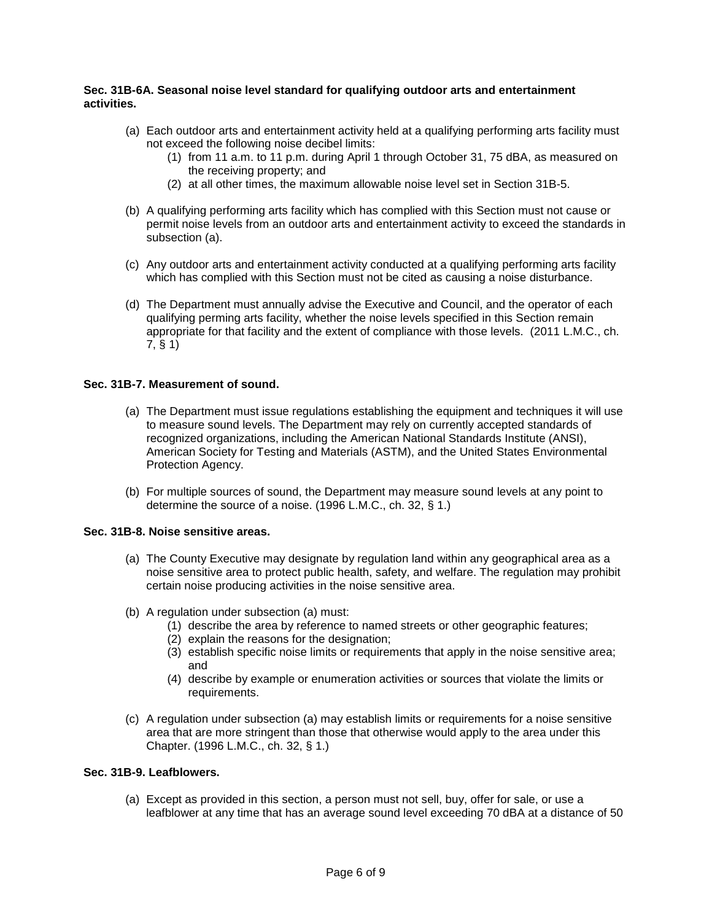### **Sec. 31B-6A. Seasonal noise level standard for qualifying outdoor arts and entertainment activities.**

- (a) Each outdoor arts and entertainment activity held at a qualifying performing arts facility must not exceed the following noise decibel limits:
	- (1) from 11 a.m. to 11 p.m. during April 1 through October 31, 75 dBA, as measured on the receiving property; and
	- (2) at all other times, the maximum allowable noise level set in Section 31B-5.
- (b) A qualifying performing arts facility which has complied with this Section must not cause or permit noise levels from an outdoor arts and entertainment activity to exceed the standards in subsection (a).
- (c) Any outdoor arts and entertainment activity conducted at a qualifying performing arts facility which has complied with this Section must not be cited as causing a noise disturbance.
- (d) The Department must annually advise the Executive and Council, and the operator of each qualifying perming arts facility, whether the noise levels specified in this Section remain appropriate for that facility and the extent of compliance with those levels. (2011 L.M.C., ch. 7, § 1)

### **Sec. 31B-7. Measurement of sound.**

- (a) The Department must issue regulations establishing the equipment and techniques it will use to measure sound levels. The Department may rely on currently accepted standards of recognized organizations, including the American National Standards Institute (ANSI), American Society for Testing and Materials (ASTM), and the United States Environmental Protection Agency.
- (b) For multiple sources of sound, the Department may measure sound levels at any point to determine the source of a noise. (1996 L.M.C., ch. 32, § 1.)

### **Sec. 31B-8. Noise sensitive areas.**

- (a) The County Executive may designate by regulation land within any geographical area as a noise sensitive area to protect public health, safety, and welfare. The regulation may prohibit certain noise producing activities in the noise sensitive area.
- (b) A regulation under subsection (a) must:
	- (1) describe the area by reference to named streets or other geographic features;
	- (2) explain the reasons for the designation;
	- (3) establish specific noise limits or requirements that apply in the noise sensitive area; and
	- (4) describe by example or enumeration activities or sources that violate the limits or requirements.
- (c) A regulation under subsection (a) may establish limits or requirements for a noise sensitive area that are more stringent than those that otherwise would apply to the area under this Chapter. (1996 L.M.C., ch. 32, § 1.)

### **Sec. 31B-9. Leafblowers.**

(a) Except as provided in this section, a person must not sell, buy, offer for sale, or use a leafblower at any time that has an average sound level exceeding 70 dBA at a distance of 50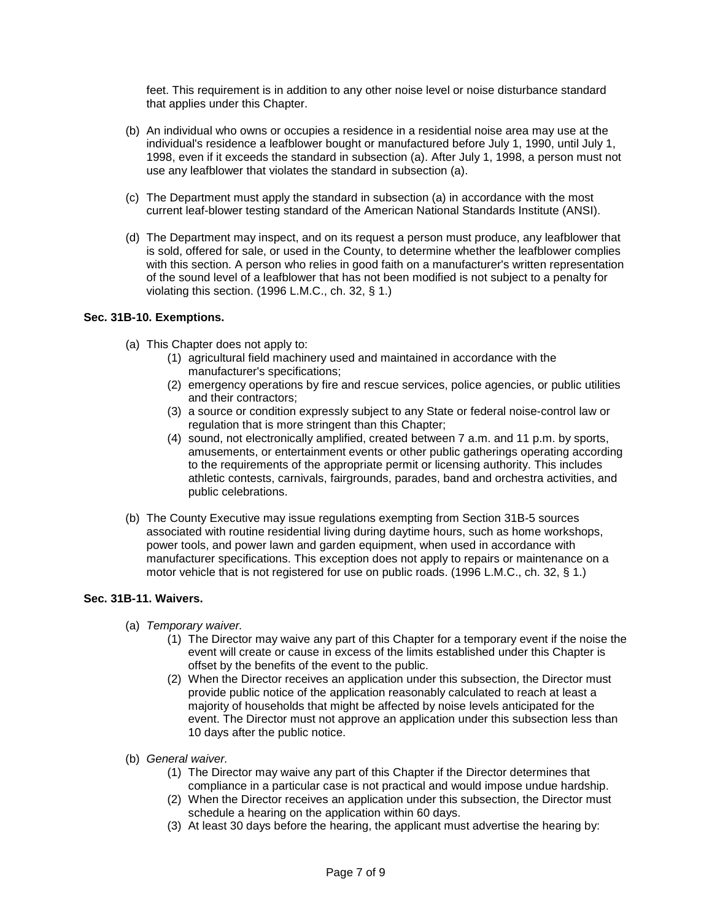feet. This requirement is in addition to any other noise level or noise disturbance standard that applies under this Chapter.

- (b) An individual who owns or occupies a residence in a residential noise area may use at the individual's residence a leafblower bought or manufactured before July 1, 1990, until July 1, 1998, even if it exceeds the standard in subsection (a). After July 1, 1998, a person must not use any leafblower that violates the standard in subsection (a).
- (c) The Department must apply the standard in subsection (a) in accordance with the most current leaf-blower testing standard of the American National Standards Institute (ANSI).
- (d) The Department may inspect, and on its request a person must produce, any leafblower that is sold, offered for sale, or used in the County, to determine whether the leafblower complies with this section. A person who relies in good faith on a manufacturer's written representation of the sound level of a leafblower that has not been modified is not subject to a penalty for violating this section. (1996 L.M.C., ch. 32, § 1.)

### **Sec. 31B-10. Exemptions.**

- (a) This Chapter does not apply to:
	- (1) agricultural field machinery used and maintained in accordance with the manufacturer's specifications;
	- (2) emergency operations by fire and rescue services, police agencies, or public utilities and their contractors;
	- (3) a source or condition expressly subject to any State or federal noise-control law or regulation that is more stringent than this Chapter;
	- (4) sound, not electronically amplified, created between 7 a.m. and 11 p.m. by sports, amusements, or entertainment events or other public gatherings operating according to the requirements of the appropriate permit or licensing authority. This includes athletic contests, carnivals, fairgrounds, parades, band and orchestra activities, and public celebrations.
- (b) The County Executive may issue regulations exempting from Section 31B-5 sources associated with routine residential living during daytime hours, such as home workshops, power tools, and power lawn and garden equipment, when used in accordance with manufacturer specifications. This exception does not apply to repairs or maintenance on a motor vehicle that is not registered for use on public roads. (1996 L.M.C., ch. 32, § 1.)

### **Sec. 31B-11. Waivers.**

- (a) *Temporary waiver.*
	- (1) The Director may waive any part of this Chapter for a temporary event if the noise the event will create or cause in excess of the limits established under this Chapter is offset by the benefits of the event to the public.
	- (2) When the Director receives an application under this subsection, the Director must provide public notice of the application reasonably calculated to reach at least a majority of households that might be affected by noise levels anticipated for the event. The Director must not approve an application under this subsection less than 10 days after the public notice.
- (b) *General waiver.*
	- (1) The Director may waive any part of this Chapter if the Director determines that compliance in a particular case is not practical and would impose undue hardship.
	- (2) When the Director receives an application under this subsection, the Director must schedule a hearing on the application within 60 days.
	- (3) At least 30 days before the hearing, the applicant must advertise the hearing by: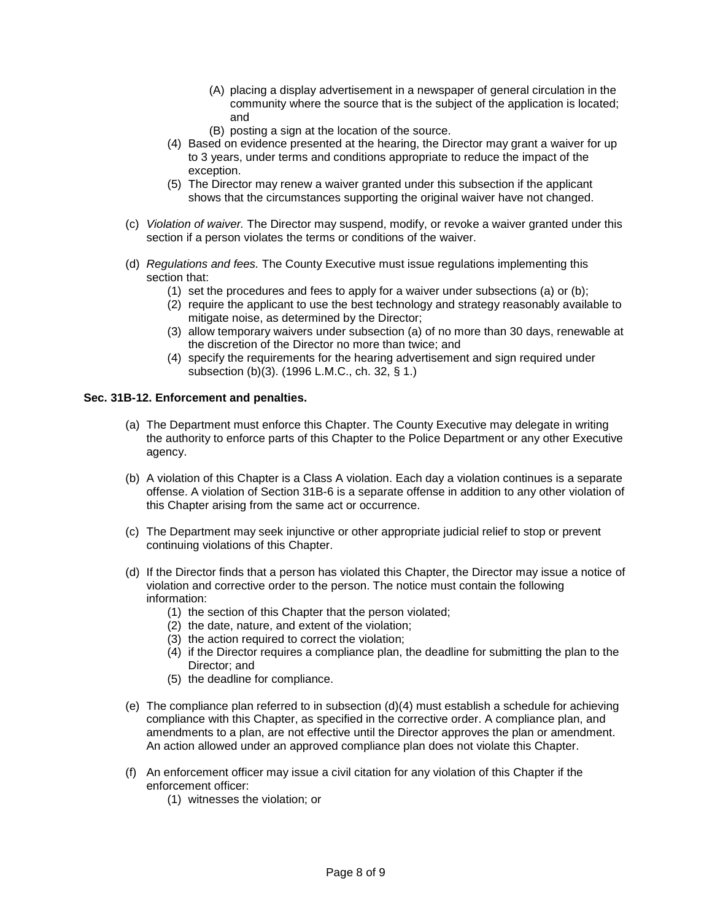- (A) placing a display advertisement in a newspaper of general circulation in the community where the source that is the subject of the application is located; and
- (B) posting a sign at the location of the source.
- (4) Based on evidence presented at the hearing, the Director may grant a waiver for up to 3 years, under terms and conditions appropriate to reduce the impact of the exception.
- (5) The Director may renew a waiver granted under this subsection if the applicant shows that the circumstances supporting the original waiver have not changed.
- (c) *Violation of waiver.* The Director may suspend, modify, or revoke a waiver granted under this section if a person violates the terms or conditions of the waiver.
- (d) *Regulations and fees.* The County Executive must issue regulations implementing this section that:
	- (1) set the procedures and fees to apply for a waiver under subsections (a) or (b);
	- (2) require the applicant to use the best technology and strategy reasonably available to mitigate noise, as determined by the Director;
	- (3) allow temporary waivers under subsection (a) of no more than 30 days, renewable at the discretion of the Director no more than twice; and
	- (4) specify the requirements for the hearing advertisement and sign required under subsection (b)(3). (1996 L.M.C., ch. 32, § 1.)

#### **Sec. 31B-12. Enforcement and penalties.**

- (a) The Department must enforce this Chapter. The County Executive may delegate in writing the authority to enforce parts of this Chapter to the Police Department or any other Executive agency.
- (b) A violation of this Chapter is a Class A violation. Each day a violation continues is a separate offense. A violation of Section 31B-6 is a separate offense in addition to any other violation of this Chapter arising from the same act or occurrence.
- (c) The Department may seek injunctive or other appropriate judicial relief to stop or prevent continuing violations of this Chapter.
- (d) If the Director finds that a person has violated this Chapter, the Director may issue a notice of violation and corrective order to the person. The notice must contain the following information:
	- (1) the section of this Chapter that the person violated;
	- (2) the date, nature, and extent of the violation;
	- (3) the action required to correct the violation;
	- (4) if the Director requires a compliance plan, the deadline for submitting the plan to the Director; and
	- (5) the deadline for compliance.
- (e) The compliance plan referred to in subsection (d)(4) must establish a schedule for achieving compliance with this Chapter, as specified in the corrective order. A compliance plan, and amendments to a plan, are not effective until the Director approves the plan or amendment. An action allowed under an approved compliance plan does not violate this Chapter.
- (f) An enforcement officer may issue a civil citation for any violation of this Chapter if the enforcement officer:
	- (1) witnesses the violation; or